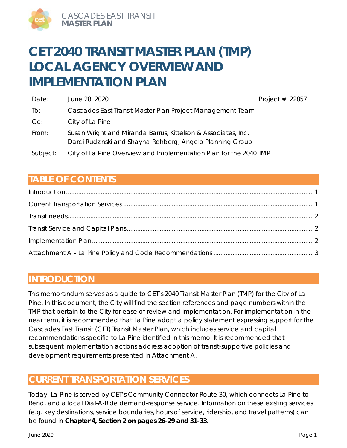# **CET 2040 TRANSIT MASTER PLAN (TMP) LOCAL AGENCY OVERVIEW AND IMPLEMENTATION PLAN**

| Date:    | June 28, 2020                                                                                                              | Project $#: 22857$ |
|----------|----------------------------------------------------------------------------------------------------------------------------|--------------------|
| To:      | Cascades East Transit Master Plan Project Management Team                                                                  |                    |
| $Cc$ :   | City of La Pine                                                                                                            |                    |
| From:    | Susan Wright and Miranda Barrus, Kittelson & Associates, Inc.<br>Darci Rudzinski and Shayna Rehberg, Angelo Planning Group |                    |
| Subject: | City of La Pine Overview and Implementation Plan for the 2040 TMP                                                          |                    |

# **TABLE OF CONTENTS**

# **INTRODUCTION**

This memorandum serves as a guide to CET's 2040 Transit Master Plan (TMP) for the City of La Pine. In this document, the City will find the section references and page numbers within the TMP that pertain to the City for ease of review and implementation. For implementation in the near term, it is recommended that La Pine adopt a policy statement expressing support for the Cascades East Transit (CET) Transit Master Plan, which includes service and capital recommendations specific to La Pine identified in this memo. It is recommended that subsequent implementation actions address adoption of transit-supportive policies and development requirements presented in Attachment A.

# **CURRENT TRANSPORTATION SERVICES**

Today, La Pine is served by CET's Community Connector Route 30, which connects La Pine to Bend, and a local Dial-A-Ride demand-response service. Information on these existing services (e.g. key destinations, service boundaries, hours of service, ridership, and travel patterns) can be found in **Chapter 4, Section 2 on pages 26-29 and 31-33**.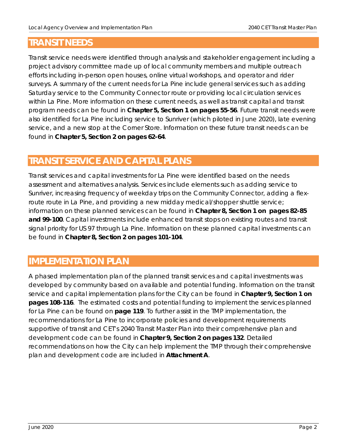# **TRANSIT NEEDS**

Transit service needs were identified through analysis and stakeholder engagement including a project advisory committee made up of local community members and multiple outreach efforts including in-person open houses, online virtual workshops, and operator and rider surveys. A summary of the current needs for La Pine include general services such as adding Saturday service to the Community Connector route or providing local circulation services within La Pine. More information on these current needs, as well as transit capital and transit program needs can be found in **Chapter 5, Section 1 on pages 55-56**. Future transit needs were also identified for La Pine including service to Sunriver (which piloted in June 2020), late evening service, and a new stop at the Corner Store. Information on these future transit needs can be found in **Chapter 5, Section 2 on pages 62-64**.

# **TRANSIT SERVICE AND CAPITAL PLANS**

Transit services and capital investments for La Pine were identified based on the needs assessment and alternatives analysis. Services include elements such as adding service to Sunriver, increasing frequency of weekday trips on the Community Connector, adding a flexroute route in La Pine, and providing a new midday medical/shopper shuttle service; information on these planned services can be found in **Chapter 8, Section 1 on pages 82-85 and 99-100**. Capital investments include enhanced transit stops on existing routes and transit signal priority for US 97 through La Pine. Information on these planned capital investments can be found in **Chapter 8, Section 2 on pages 101-104**.

# **IMPLEMENTATION PLAN**

A phased implementation plan of the planned transit services and capital investments was developed by community based on available and potential funding. Information on the transit service and capital implementation plans for the City can be found in **Chapter 9, Section 1 on pages 108-116**. The estimated costs and potential funding to implement the services planned for La Pine can be found on **page 119**. To further assist in the TMP implementation, the recommendations for La Pine to incorporate policies and development requirements supportive of transit and CET's 2040 Transit Master Plan into their comprehensive plan and development code can be found in **Chapter 9, Section 2 on pages 132**. Detailed recommendations on how the City can help implement the TMP through their comprehensive plan and development code are included in **Attachment A**.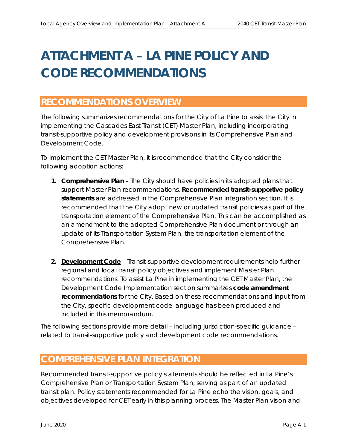# **ATTACHMENT A – LA PINE POLICY AND CODE RECOMMENDATIONS**

# **RECOMMENDATIONS OVERVIEW**

The following summarizes recommendations for the City of La Pine to assist the City in implementing the Cascades East Transit (CET) Master Plan, including incorporating transit-supportive policy and development provisions in its Comprehensive Plan and Development Code.

To implement the CET Master Plan, it is recommended that the City consider the following adoption actions:

- **1. Comprehensive Plan**  The City should have policies in its adopted plans that support Master Plan recommendations. **Recommended transit-supportive policy statements** are addressed in the *Comprehensive Plan Integration* section. It is recommended that the City adopt new or updated transit policies as part of the transportation element of the Comprehensive Plan. This can be accomplished as an amendment to the adopted Comprehensive Plan document or through an update of its Transportation System Plan, the transportation element of the Comprehensive Plan.
- **2. Development Code** Transit-supportive development requirements help further regional and local transit policy objectives and implement Master Plan recommendations. To assist La Pine in implementing the CET Master Plan, the *Development Code Implementation* section summarizes **code amendment recommendations** for the City. Based on these recommendations and input from the City, specific development code language has been produced and included in this memorandum.

The following sections provide more detail – including jurisdiction-specific guidance – related to transit-supportive policy and development code recommendations.

# **COMPREHENSIVE PLAN INTEGRATION**

Recommended transit-supportive policy statements should be reflected in La Pine's Comprehensive Plan or Transportation System Plan, serving as part of an updated transit plan. Policy statements recommended for La Pine echo the vision, goals, and objectives developed for CET early in this planning process. The Master Plan vision and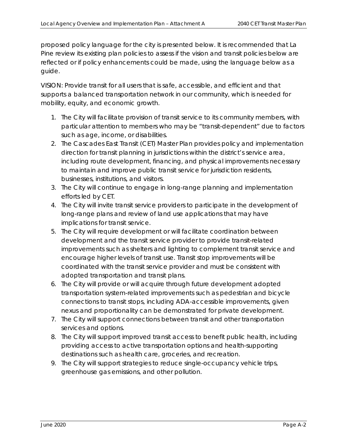proposed policy language for the city is presented below. It is recommended that La Pine review its existing plan policies to assess if the vision and transit policies below are reflected or if policy enhancements could be made, using the language below as a guide.

VISION: Provide transit for all users that is safe, accessible, and efficient and that supports a balanced transportation network in our community, which is needed for mobility, equity, and economic growth.

- *1. The City will facilitate provision of transit service to its community members, with particular attention to members who may be "transit-dependent" due to factors such as age, income, or disabilities.*
- *2. The Cascades East Transit (CET) Master Plan provides policy and implementation direction for transit planning in jurisdictions within the district's service area, including route development, financing, and physical improvements necessary to maintain and improve public transit service for jurisdiction residents, businesses, institutions, and visitors.*
- *3. The City will continue to engage in long-range planning and implementation efforts led by CET.*
- *4. The City will invite transit service providers to participate in the development of long-range plans and review of land use applications that may have implications for transit service.*
- *5. The City will require development or will facilitate coordination between development and the transit service provider to provide transit-related improvements such as shelters and lighting to complement transit service and encourage higher levels of transit use. Transit stop improvements will be coordinated with the transit service provider and must be consistent with adopted transportation and transit plans.*
- *6. The City will provide or will acquire through future development adopted transportation system-related improvements such as pedestrian and bicycle connections to transit stops, including ADA-accessible improvements, given nexus and proportionality can be demonstrated for private development.*
- *7. The City will support connections between transit and other transportation services and options.*
- *8. The City will support improved transit access to benefit public health, including providing access to active transportation options and health-supporting destinations such as health care, groceries, and recreation.*
- *9. The City will support strategies to reduce single-occupancy vehicle trips, greenhouse gas emissions, and other pollution.*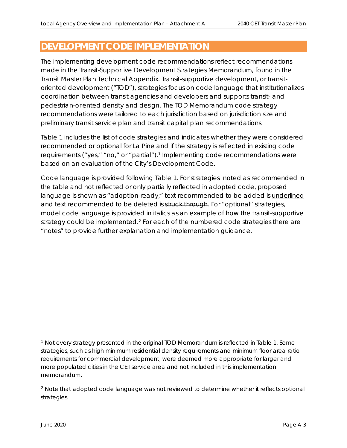# **DEVELOPMENT CODE IMPLEMENTATION**

The implementing development code recommendations reflect recommendations made in the Transit-Supportive Development Strategies Memorandum, found in the Transit Master Plan Technical Appendix. Transit-supportive development, or transitoriented development ("TOD"), strategies focus on code language that institutionalizes coordination between transit agencies and developers and supports transit- and pedestrian-oriented density and design. The TOD Memorandum code strategy recommendations were tailored to each jurisdiction based on jurisdiction size and preliminary transit service plan and transit capital plan recommendations.

Table 1 includes the list of code strategies and indicates whether they were considered recommended or optional for La Pine and if the strategy is reflected in existing code requirements ("yes," "no," or "partial").1 Implementing code recommendations were based on an evaluation of the City's Development Code.

Code language is provided following Table 1. For strategies noted as recommended in the table and not reflected or only partially reflected in adopted code, proposed language is shown as "adoption-ready;" text recommended to be added is underlined and text recommended to be deleted is struck through. For "optional" strategies, model code language is provided in *italics* as an example of how the transit-supportive strategy could be implemented.<sup>2</sup> For each of the numbered code strategies there are "notes" to provide further explanation and implementation guidance.

<sup>1</sup> Not every strategy presented in the original TOD Memorandum is reflected in Table 1. Some strategies, such as high minimum residential density requirements and minimum floor area ratio requirements for commercial development, were deemed more appropriate for larger and more populated cities in the CET service area and not included in this implementation memorandum.

<sup>&</sup>lt;sup>2</sup> Note that adopted code language was not reviewed to determine whether it reflects optional strategies.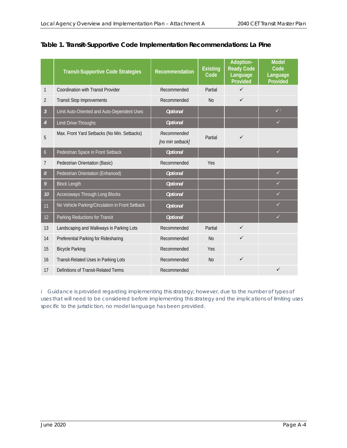|                | <b>Transit-Supportive Code Strategies</b>       | Recommendation                  | <b>Existing</b><br>Code | Adoption-<br><b>Ready Code</b><br>Language<br>Provided | <b>Model</b><br>Code<br>Language<br>Provided |
|----------------|-------------------------------------------------|---------------------------------|-------------------------|--------------------------------------------------------|----------------------------------------------|
| 1              | Coordination with Transit Provider              | Recommended                     | Partial                 | $\checkmark$                                           |                                              |
| $\overline{2}$ | <b>Transit Stop Improvements</b>                | Recommended                     | N <sub>0</sub>          | $\checkmark$                                           |                                              |
| $\overline{3}$ | Limit Auto-Oriented and Auto-Dependent Uses     | <b>Optional</b>                 |                         |                                                        | $\checkmark$                                 |
| $\overline{4}$ | Limit Drive-Throughs                            | <b>Optional</b>                 |                         |                                                        | $\checkmark$                                 |
| 5              | Max. Front Yard Setbacks (No Min. Setbacks)     | Recommended<br>[no min setback] | Partial                 | $\checkmark$                                           |                                              |
| $\mathfrak b$  | Pedestrian Space in Front Setback               | <b>Optional</b>                 |                         |                                                        | $\checkmark$                                 |
| 7              | Pedestrian Orientation (Basic)                  | Recommended                     | Yes                     |                                                        |                                              |
| 8              | Pedestrian Orientation (Enhanced)               | <b>Optional</b>                 |                         |                                                        | $\checkmark$                                 |
| 9              | <b>Block Length</b>                             | <b>Optional</b>                 |                         |                                                        | ✓                                            |
| 10             | Accessways Through Long Blocks                  | <b>Optional</b>                 |                         |                                                        | ✓                                            |
| 11             | No Vehicle Parking/Circulation in Front Setback | <b>Optional</b>                 |                         |                                                        | ✓                                            |
| 12             | Parking Reductions for Transit                  | <b>Optional</b>                 |                         |                                                        | $\checkmark$                                 |
| 13             | Landscaping and Walkways in Parking Lots        | Recommended                     | Partial                 | $\checkmark$                                           |                                              |
| 14             | Preferential Parking for Ridesharing            | Recommended                     | <b>No</b>               | $\checkmark$                                           |                                              |
| 15             | <b>Bicycle Parking</b>                          | Recommended                     | Yes                     |                                                        |                                              |
| 16             | Transit-Related Uses in Parking Lots            | Recommended                     | N <sub>0</sub>          | $\checkmark$                                           |                                              |
| 17             | Definitions of Transit-Related Terms            | Recommended                     |                         |                                                        | ✓                                            |

## **Table 1. Transit-Supportive Code Implementation Recommendations: La Pine**

*i* Guidance is provided regarding implementing this strategy; however, due to the number of types of *uses that will need to be considered before implementing this strategy and the implications of limiting uses specific to the jurisdiction, no model language has been provided.*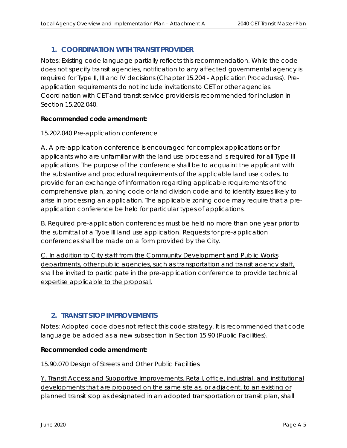# **1. COORDINATION WITH TRANSIT PROVIDER**

Notes: Existing code language partially reflects this recommendation. While the code does not specify transit agencies, notification to any affected governmental agency is required for Type II, III and IV decisions (Chapter 15.204 - Application Procedures). Preapplication requirements do not include invitations to CET or other agencies. Coordination with CET and transit service providers is recommended for inclusion in Section 15.202.040.

## **Recommended code amendment:**

#### 15.202.040 Pre-application conference

A. A pre-application conference is encouraged for complex applications or for applicants who are unfamiliar with the land use process and is required for all Type III applications. The purpose of the conference shall be to acquaint the applicant with the substantive and procedural requirements of the applicable land use codes, to provide for an exchange of information regarding applicable requirements of the comprehensive plan, zoning code or land division code and to identify issues likely to arise in processing an application. The applicable zoning code may require that a preapplication conference be held for particular types of applications.

B. Required pre-application conferences must be held no more than one year prior to the submittal of a Type III land use application. Requests for pre-application conferences shall be made on a form provided by the City.

C. In addition to City staff from the Community Development and Public Works departments, other public agencies, such as transportation and transit agency staff, shall be invited to participate in the pre-application conference to provide technical expertise applicable to the proposal.

## **2. TRANSIT STOP IMPROVEMENTS**

Notes: Adopted code does not reflect this code strategy. It is recommended that code language be added as a new subsection in Section 15.90 (Public Facilities).

#### **Recommended code amendment:**

15.90.070 Design of Streets and Other Public Facilities

Y. Transit Access and Supportive Improvements. Retail, office, industrial, and institutional developments that are proposed on the same site as, or adjacent, to an existing or planned transit stop as designated in an adopted transportation or transit plan, shall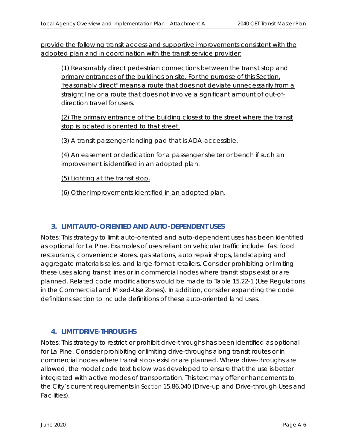provide the following transit access and supportive improvements consistent with the adopted plan and in coordination with the transit service provider:

(1) Reasonably direct pedestrian connections between the transit stop and primary entrances of the buildings on site. For the purpose of this Section, "reasonably direct" means a route that does not deviate unnecessarily from a straight line or a route that does not involve a significant amount of out-ofdirection travel for users.

(2) The primary entrance of the building closest to the street where the transit stop is located is oriented to that street.

(3) A transit passenger landing pad that is ADA-accessible.

(4) An easement or dedication for a passenger shelter or bench if such an improvement is identified in an adopted plan.

(5) Lighting at the transit stop.

(6) Other improvements identified in an adopted plan.

## **3. LIMIT AUTO-ORIENTED AND AUTO-DEPENDENT USES**

Notes: This strategy to limit auto-oriented and auto-dependent uses has been identified as optional for La Pine. Examples of uses reliant on vehicular traffic include: fast food restaurants, convenience stores, gas stations, auto repair shops, landscaping and aggregate materials sales, and large-format retailers. Consider prohibiting or limiting these uses along transit lines or in commercial nodes where transit stops exist or are planned. Related code modifications would be made to Table 15.22-1 (Use Regulations in the Commercial and Mixed-Use Zones). In addition, consider expanding the code definitions section to include definitions of these auto-oriented land uses.

## **4. LIMIT DRIVE-THROUGHS**

Notes: This strategy to restrict or prohibit drive-throughs has been identified as optional for La Pine. Consider prohibiting or limiting drive-throughs along transit routes or in commercial nodes where transit stops exist or are planned. Where drive-throughs are allowed, the model code text below was developed to ensure that the use is better integrated with active modes of transportation. This text may offer enhancements to the City's current requirements in Section 15.86.040 (Drive-up and Drive-through Uses and Facilities).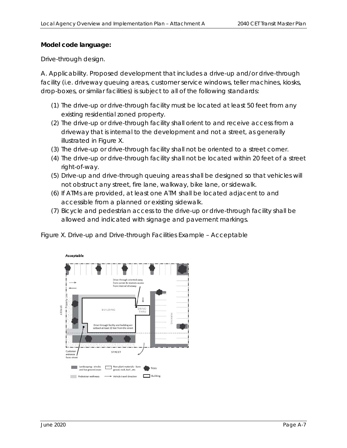#### **Model code language:**

#### *Drive-through design.*

*A. Applicability. Proposed development that includes a drive-up and/or drive-through facility (i.e. driveway queuing areas, customer service windows, teller machines, kiosks, drop-boxes, or similar facilities) is subject to all of the following standards:* 

- *(1) The drive-up or drive-through facility must be located at least 50 feet from any existing residential zoned property.*
- *(2) The drive-up or drive-through facility shall orient to and receive access from a driveway that is internal to the development and not a street, as generally illustrated in Figure X.*
- *(3) The drive-up or drive-through facility shall not be oriented to a street corner.*
- *(4) The drive-up or drive-through facility shall not be located within 20 feet of a street right-of-way.*
- *(5) Drive-up and drive-through queuing areas shall be designed so that vehicles will not obstruct any street, fire lane, walkway, bike lane, or sidewalk.*
- *(6) If ATMs are provided, at least one ATM shall be located adjacent to and accessible from a planned or existing sidewalk.*
- *(7) Bicycle and pedestrian access to the drive-up or drive-through facility shall be allowed and indicated with signage and pavement markings.*



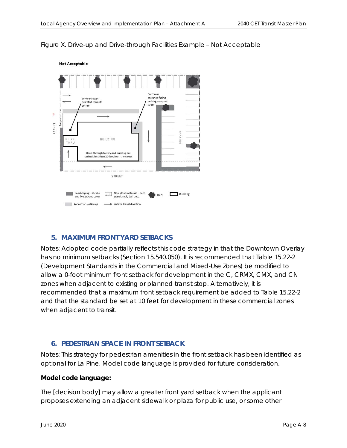#### *Figure X. Drive-up and Drive-through Facilities Example – Not Acceptable*



## **5. MAXIMUM FRONT YARD SETBACKS**

Notes: Adopted code partially reflects this code strategy in that the Downtown Overlay has no minimum setbacks (Section 15.540.050). It is recommended that Table 15.22-2 (Development Standards in the Commercial and Mixed-Use Zones) be modified to allow a 0-foot minimum front setback for development in the C, CRMX, CMX, and CN zones when adjacent to existing or planned transit stop. Alternatively, it is recommended that a maximum front setback requirement be added to Table 15.22-2 and that the standard be set at 10 feet for development in these commercial zones when adjacent to transit.

## **6. PEDESTRIAN SPACE IN FRONT SETBACK**

Notes: This strategy for pedestrian amenities in the front setback has been identified as optional for La Pine. Model code language is provided for future consideration.

#### **Model code language:**

*The [decision body] may allow a greater front yard setback when the applicant proposes extending an adjacent sidewalk or plaza for public use, or some other*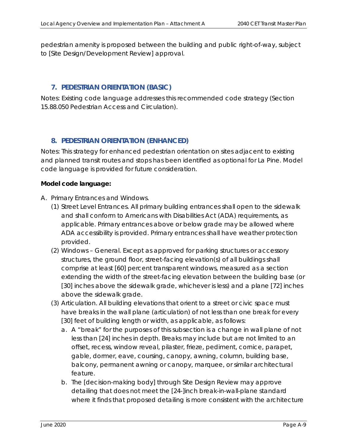*pedestrian amenity is proposed between the building and public right-of-way, subject to [Site Design/Development Review] approval.* 

# **7. PEDESTRIAN ORIENTATION (BASIC)**

Notes: Existing code language addresses this recommended code strategy (Section 15.88.050 Pedestrian Access and Circulation).

# **8. PEDESTRIAN ORIENTATION (ENHANCED)**

Notes: This strategy for enhanced pedestrian orientation on sites adjacent to existing and planned transit routes and stops has been identified as optional for La Pine. Model code language is provided for future consideration.

#### **Model code language:**

- *A. Primary Entrances and Windows.* 
	- *(1) Street Level Entrances. All primary building entrances shall open to the sidewalk and shall conform to Americans with Disabilities Act (ADA) requirements, as applicable. Primary entrances above or below grade may be allowed where ADA accessibility is provided. Primary entrances shall have weather protection provided.*
	- *(2) Windows General. Except as approved for parking structures or accessory structures, the ground floor, street-facing elevation(s) of all buildings shall comprise at least [60] percent transparent windows, measured as a section extending the width of the street-facing elevation between the building base (or [30] inches above the sidewalk grade, whichever is less) and a plane [72] inches above the sidewalk grade.*
	- *(3) Articulation. All building elevations that orient to a street or civic space must have breaks in the wall plane (articulation) of not less than one break for every*  [30] feet of building length or width, as applicable, as follows:
		- *a. A "break" for the purposes of this subsection is a change in wall plane of not*  less than [24] inches in depth. Breaks may include but are not limited to an *offset, recess, window reveal, pilaster, frieze, pediment, cornice, parapet, gable, dormer, eave, coursing, canopy, awning, column, building base, balcony, permanent awning or canopy, marquee, or similar architectural feature.*
		- *b. The [decision-making body] through Site Design Review may approve detailing that does not meet the [24-]inch break-in-wall-plane standard where it finds that proposed detailing is more consistent with the architecture*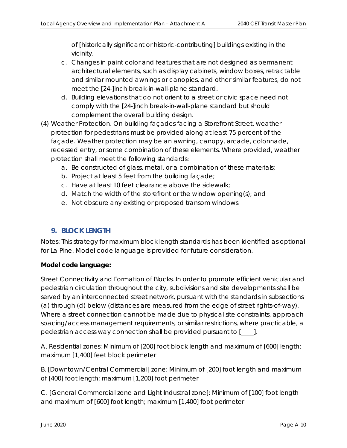*of [historically significant or historic-contributing] buildings existing in the vicinity.* 

- *c. Changes in paint color and features that are not designed as permanent architectural elements, such as display cabinets, window boxes, retractable and similar mounted awnings or canopies, and other similar features, do not meet the [24-]inch break-in-wall-plane standard.*
- *d. Building elevations that do not orient to a street or civic space need not comply with the [24-]inch break-in-wall-plane standard but should complement the overall building design.*
- *(4) Weather Protection.* On building façades facing a Storefront Street, weather protection for pedestrians must be provided along at least 75 percent of the façade. Weather protection may be an awning, canopy, arcade, colonnade, recessed entry, or some combination of these elements. Where provided, weather protection shall meet the following standards:
	- *a.* Be constructed of glass, metal, or a combination of these materials;
	- *b.* Project at least 5 feet from the building façade;
	- *c.* Have at least 10 feet clearance above the sidewalk;
	- *d.* Match the width of the storefront or the window opening(s); and
	- *e.* Not obscure any existing or proposed transom windows.

## **9. BLOCK LENGTH**

Notes: This strategy for maximum block length standards has been identified as optional for La Pine. Model code language is provided for future consideration.

## **Model code language:**

*Street Connectivity and Formation of Blocks. In order to promote efficient vehicular and pedestrian circulation throughout the city, subdivisions and site developments shall be served by an interconnected street network, pursuant with the standards in subsections (a) through (d) below (distances are measured from the edge of street rights-of-way). Where a street connection cannot be made due to physical site constraints, approach spacing/access management requirements, or similar restrictions, where practicable, a pedestrian access way connection shall be provided pursuant to [\_\_\_\_].* 

*A. Residential zones: Minimum of [200] foot block length and maximum of [600] length; maximum [1,400] feet block perimeter* 

*B. [Downtown/Central Commercial] zone: Minimum of [200] foot length and maximum of [400] foot length; maximum [1,200] foot perimeter* 

*C. [General Commercial zone and Light Industrial zone]: Minimum of [100] foot length and maximum of [600] foot length; maximum [1,400] foot perimeter*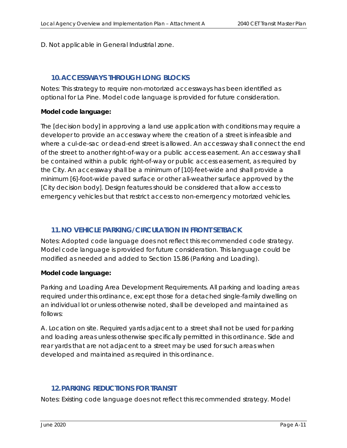#### *D. Not applicable in General Industrial zone.*

## **10.ACCESSWAYS THROUGH LONG BLOCKS**

Notes: This strategy to require non-motorized accessways has been identified as optional for La Pine. Model code language is provided for future consideration.

#### **Model code language:**

*The [decision body] in approving a land use application with conditions may require a developer to provide an accessway where the creation of a street is infeasible and where a cul-de-sac or dead-end street is allowed. An accessway shall connect the end of the street to another right-of-way or a public access easement. An accessway shall be contained within a public right-of-way or public access easement, as required by the City. An accessway shall be a minimum of [10]-feet-wide and shall provide a minimum [6]-foot-wide paved surface or other all-weather surface approved by the [City decision body]. Design features should be considered that allow access to emergency vehicles but that restrict access to non-emergency motorized vehicles.* 

## **11.NO VEHICLE PARKING/CIRCULATION IN FRONT SETBACK**

Notes: Adopted code language does not reflect this recommended code strategy. Model code language is provided for future consideration. This language could be modified as needed and added to Section 15.86 (Parking and Loading).

## **Model code language:**

*Parking and Loading Area Development Requirements. All parking and loading areas required under this ordinance, except those for a detached single-family dwelling on an individual lot or unless otherwise noted, shall be developed and maintained as follows:* 

*A. Location on site. Required yards adjacent to a street shall not be used for parking and loading areas unless otherwise specifically permitted in this ordinance. Side and rear yards that are not adjacent to a street may be used for such areas when developed and maintained as required in this ordinance.* 

# **12.PARKING REDUCTIONS FOR TRANSIT**

Notes*:* Existing code language does not reflect this recommended strategy. Model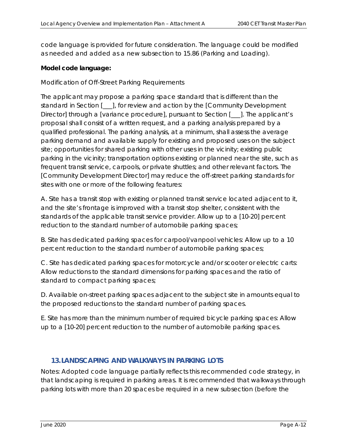code language is provided for future consideration. The language could be modified as needed and added as a new subsection to 15.86 (Parking and Loading).

#### **Model code language:**

#### *Modification of Off-Street Parking Requirements*

*The applicant may propose a parking space standard that is different than the standard in Section [\_\_\_], for review and action by the [Community Development Director] through a [variance procedure], pursuant to Section [\_\_\_]. The applicant's proposal shall consist of a written request, and a parking analysis prepared by a qualified professional. The parking analysis, at a minimum, shall assess the average parking demand and available supply for existing and proposed uses on the subject site; opportunities for shared parking with other uses in the vicinity; existing public parking in the vicinity; transportation options existing or planned near the site, such as frequent transit service, carpools, or private shuttles; and other relevant factors. The [Community Development Director] may reduce the off-street parking standards for sites with one or more of the following features:* 

*A. Site has a transit stop with existing or planned transit service located adjacent to it, and the site's frontage is improved with a transit stop shelter, consistent with the standards of the applicable transit service provider. Allow up to a [10-20] percent reduction to the standard number of automobile parking spaces;* 

*B. Site has dedicated parking spaces for carpool/vanpool vehicles: Allow up to a 10 percent reduction to the standard number of automobile parking spaces;* 

*C. Site has dedicated parking spaces for motorcycle and/or scooter or electric carts: Allow reductions to the standard dimensions for parking spaces and the ratio of standard to compact parking spaces;* 

*D. Available on-street parking spaces adjacent to the subject site in amounts equal to the proposed reductions to the standard number of parking spaces.* 

*E. Site has more than the minimum number of required bicycle parking spaces: Allow up to a [10-20] percent reduction to the number of automobile parking spaces.* 

## **13.LANDSCAPING AND WALKWAYS IN PARKING LOTS**

Notes: Adopted code language partially reflects this recommended code strategy, in that landscaping is required in parking areas. It is recommended that walkways through parking lots with more than 20 spaces be required in a new subsection (before the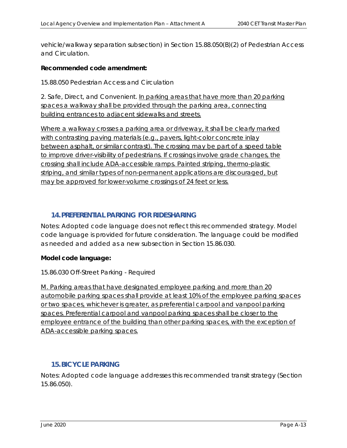vehicle/walkway separation subsection) in Section 15.88.050(B)(2) of Pedestrian Access and Circulation.

#### **Recommended code amendment:**

15.88.050 Pedestrian Access and Circulation

2. Safe, Direct, and Convenient. In parking areas that have more than 20 parking spaces a walkway shall be provided through the parking area, connecting building entrances to adjacent sidewalks and streets.

Where a walkway crosses a parking area or driveway, it shall be clearly marked with contrasting paving materials (e.g., pavers, light-color concrete inlay between asphalt, or similar contrast). The crossing may be part of a speed table to improve driver-visibility of pedestrians. If crossings involve grade changes, the crossing shall include ADA-accessible ramps. Painted striping, thermo-plastic striping, and similar types of non-permanent applications are discouraged, but may be approved for lower-volume crossings of 24 feet or less.

## **14.PREFERENTIAL PARKING FOR RIDESHARING**

Notes*:* Adopted code language does not reflect this recommended strategy. Model code language is provided for future consideration. The language could be modified as needed and added as a new subsection in Section 15.86.030.

## **Model code language:**

15.86.030 Off-Street Parking - Required

M. Parking areas that have designated employee parking and more than 20 automobile parking spaces shall provide at least 10% of the employee parking spaces or two spaces, whichever is greater, as preferential carpool and vanpool parking spaces. Preferential carpool and vanpool parking spaces shall be closer to the employee entrance of the building than other parking spaces, with the exception of ADA-accessible parking spaces.

## **15.BICYCLE PARKING**

Notes: Adopted code language addresses this recommended transit strategy (Section 15.86.050).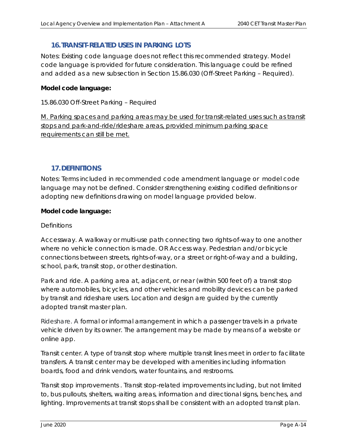# **16.TRANSIT-RELATED USES IN PARKING LOTS**

Notes*:* Existing code language does not reflect this recommended strategy. Model code language is provided for future consideration. This language could be refined and added as a new subsection in Section 15.86.030 (Off-Street Parking – Required).

#### **Model code language:**

15.86.030 Off-Street Parking – Required

M. Parking spaces and parking areas may be used for transit-related uses such as transit stops and park-and-ride/rideshare areas, provided minimum parking space requirements can still be met*.* 

## **17.DEFINITIONS**

Notes: Terms included in recommended code amendment language or model code language may not be defined. Consider strengthening existing codified definitions or adopting new definitions drawing on model language provided below.

#### **Model code language:**

#### *Definitions*

*Accessway. A walkway or multi-use path connecting two rights-of-way to one another where no vehicle connection is made. OR Access way. Pedestrian and/or bicycle connections between streets, rights-of-way, or a street or right-of-way and a building, school, park, transit stop, or other destination.* 

Park and ride. A parking area at, adjacent, or near (within 500 feet of) a transit stop *where automobiles, bicycles, and other vehicles and mobility devices can be parked by transit and rideshare users. Location and design are guided by the currently adopted transit master plan.* 

*Rideshare. A formal or informal arrangement in which a passenger travels in a private vehicle driven by its owner. The arrangement may be made by means of a website or online app.* 

*Transit center. A type of transit stop where multiple transit lines meet in order to facilitate transfers. A transit center may be developed with amenities including information boards, food and drink vendors, water fountains, and restrooms.* 

*Transit stop improvements . Transit stop-related improvements including, but not limited to, bus pullouts, shelters, waiting areas, information and directional signs, benches, and*  lighting. Improvements at transit stops shall be consistent with an adopted transit plan.